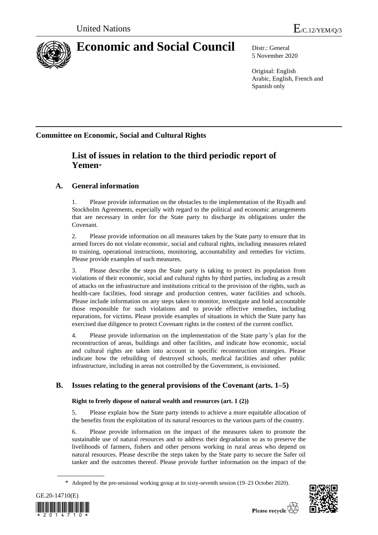

# **Economic and Social Council** Distr.: General

5 November 2020

Original: English Arabic, English, French and Spanish only

# **Committee on Economic, Social and Cultural Rights**

# **List of issues in relation to the third periodic report of Yemen**\*

### **A. General information**

1. Please provide information on the obstacles to the implementation of the Riyadh and Stockholm Agreements, especially with regard to the political and economic arrangements that are necessary in order for the State party to discharge its obligations under the Covenant.

2. Please provide information on all measures taken by the State party to ensure that its armed forces do not violate economic, social and cultural rights, including measures related to training, operational instructions, monitoring, accountability and remedies for victims. Please provide examples of such measures.

3. Please describe the steps the State party is taking to protect its population from violations of their economic, social and cultural rights by third parties, including as a result of attacks on the infrastructure and institutions critical to the provision of the rights, such as health-care facilities, food storage and production centres, water facilities and schools. Please include information on any steps taken to monitor, investigate and hold accountable those responsible for such violations and to provide effective remedies, including reparations, for victims. Please provide examples of situations in which the State party has exercised due diligence to protect Covenant rights in the context of the current conflict.

4. Please provide information on the implementation of the State party's plan for the reconstruction of areas, buildings and other facilities, and indicate how economic, social and cultural rights are taken into account in specific reconstruction strategies. Please indicate how the rebuilding of destroyed schools, medical facilities and other public infrastructure, including in areas not controlled by the Government, is envisioned.

## **B. Issues relating to the general provisions of the Covenant (arts. 1–5)**

### **Right to freely dispose of natural wealth and resources (art. 1 (2))**

5. Please explain how the State party intends to achieve a more equitable allocation of the benefits from the exploitation of its natural resources to the various parts of the country.

6. Please provide information on the impact of the measures taken to promote the sustainable use of natural resources and to address their degradation so as to preserve the livelihoods of farmers, fishers and other persons working in rural areas who depend on natural resources. Please describe the steps taken by the State party to secure the Safer oil tanker and the outcomes thereof. Please provide further information on the impact of the

<sup>\*</sup> Adopted by the pre-sessional working group at its sixty-seventh session (19–23 October 2020).



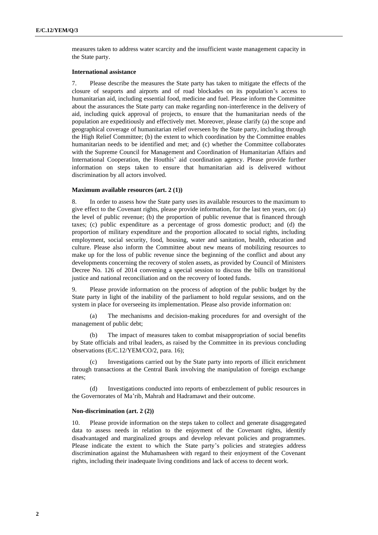measures taken to address water scarcity and the insufficient waste management capacity in the State party.

#### **International assistance**

7. Please describe the measures the State party has taken to mitigate the effects of the closure of seaports and airports and of road blockades on its population's access to humanitarian aid, including essential food, medicine and fuel. Please inform the Committee about the assurances the State party can make regarding non-interference in the delivery of aid, including quick approval of projects, to ensure that the humanitarian needs of the population are expeditiously and effectively met. Moreover, please clarify (a) the scope and geographical coverage of humanitarian relief overseen by the State party, including through the High Relief Committee; (b) the extent to which coordination by the Committee enables humanitarian needs to be identified and met; and (c) whether the Committee collaborates with the Supreme Council for Management and Coordination of Humanitarian Affairs and International Cooperation, the Houthis' aid coordination agency. Please provide further information on steps taken to ensure that humanitarian aid is delivered without discrimination by all actors involved.

#### **Maximum available resources (art. 2 (1))**

8. In order to assess how the State party uses its available resources to the maximum to give effect to the Covenant rights, please provide information, for the last ten years, on: (a) the level of public revenue; (b) the proportion of public revenue that is financed through taxes; (c) public expenditure as a percentage of gross domestic product; and (d) the proportion of military expenditure and the proportion allocated to social rights, including employment, social security, food, housing, water and sanitation, health, education and culture. Please also inform the Committee about new means of mobilizing resources to make up for the loss of public revenue since the beginning of the conflict and about any developments concerning the recovery of stolen assets, as provided by Council of Ministers Decree No. 126 of 2014 convening a special session to discuss the bills on transitional justice and national reconciliation and on the recovery of looted funds.

9. Please provide information on the process of adoption of the public budget by the State party in light of the inability of the parliament to hold regular sessions, and on the system in place for overseeing its implementation. Please also provide information on:

(a) The mechanisms and decision-making procedures for and oversight of the management of public debt;

(b) The impact of measures taken to combat misappropriation of social benefits by State officials and tribal leaders, as raised by the Committee in its previous concluding observations (E/C.12/YEM/CO/2, para. 16);

Investigations carried out by the State party into reports of illicit enrichment through transactions at the Central Bank involving the manipulation of foreign exchange rates;

(d) Investigations conducted into reports of embezzlement of public resources in the Governorates of Ma'rib, Mahrah and Hadramawt and their outcome.

#### **Non-discrimination (art. 2 (2))**

10. Please provide information on the steps taken to collect and generate disaggregated data to assess needs in relation to the enjoyment of the Covenant rights, identify disadvantaged and marginalized groups and develop relevant policies and programmes. Please indicate the extent to which the State party's policies and strategies address discrimination against the Muhamasheen with regard to their enjoyment of the Covenant rights, including their inadequate living conditions and lack of access to decent work.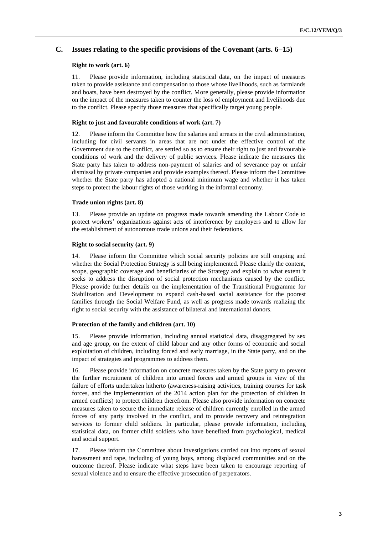### **C. Issues relating to the specific provisions of the Covenant (arts. 6–15)**

#### **Right to work (art. 6)**

11. Please provide information, including statistical data, on the impact of measures taken to provide assistance and compensation to those whose livelihoods, such as farmlands and boats, have been destroyed by the conflict. More generally, please provide information on the impact of the measures taken to counter the loss of employment and livelihoods due to the conflict. Please specify those measures that specifically target young people.

#### **Right to just and favourable conditions of work (art. 7)**

12. Please inform the Committee how the salaries and arrears in the civil administration, including for civil servants in areas that are not under the effective control of the Government due to the conflict, are settled so as to ensure their right to just and favourable conditions of work and the delivery of public services. Please indicate the measures the State party has taken to address non-payment of salaries and of severance pay or unfair dismissal by private companies and provide examples thereof. Please inform the Committee whether the State party has adopted a national minimum wage and whether it has taken steps to protect the labour rights of those working in the informal economy.

#### **Trade union rights (art. 8)**

13. Please provide an update on progress made towards amending the Labour Code to protect workers' organizations against acts of interference by employers and to allow for the establishment of autonomous trade unions and their federations.

#### **Right to social security (art. 9)**

14. Please inform the Committee which social security policies are still ongoing and whether the Social Protection Strategy is still being implemented. Please clarify the content, scope, geographic coverage and beneficiaries of the Strategy and explain to what extent it seeks to address the disruption of social protection mechanisms caused by the conflict. Please provide further details on the implementation of the Transitional Programme for Stabilization and Development to expand cash-based social assistance for the poorest families through the Social Welfare Fund, as well as progress made towards realizing the right to social security with the assistance of bilateral and international donors.

#### **Protection of the family and children (art. 10)**

15. Please provide information, including annual statistical data, disaggregated by sex and age group, on the extent of child labour and any other forms of economic and social exploitation of children, including forced and early marriage, in the State party, and on the impact of strategies and programmes to address them.

16. Please provide information on concrete measures taken by the State party to prevent the further recruitment of children into armed forces and armed groups in view of the failure of efforts undertaken hitherto (awareness-raising activities, training courses for task forces, and the implementation of the 2014 action plan for the protection of children in armed conflicts) to protect children therefrom. Please also provide information on concrete measures taken to secure the immediate release of children currently enrolled in the armed forces of any party involved in the conflict, and to provide recovery and reintegration services to former child soldiers. In particular, please provide information, including statistical data, on former child soldiers who have benefited from psychological, medical and social support.

17. Please inform the Committee about investigations carried out into reports of sexual harassment and rape, including of young boys, among displaced communities and on the outcome thereof. Please indicate what steps have been taken to encourage reporting of sexual violence and to ensure the effective prosecution of perpetrators.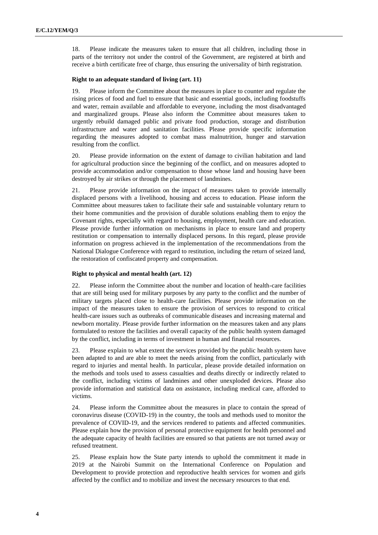18. Please indicate the measures taken to ensure that all children, including those in parts of the territory not under the control of the Government, are registered at birth and receive a birth certificate free of charge, thus ensuring the universality of birth registration.

#### **Right to an adequate standard of living (art. 11)**

19. Please inform the Committee about the measures in place to counter and regulate the rising prices of food and fuel to ensure that basic and essential goods, including foodstuffs and water, remain available and affordable to everyone, including the most disadvantaged and marginalized groups. Please also inform the Committee about measures taken to urgently rebuild damaged public and private food production, storage and distribution infrastructure and water and sanitation facilities. Please provide specific information regarding the measures adopted to combat mass malnutrition, hunger and starvation resulting from the conflict.

20. Please provide information on the extent of damage to civilian habitation and land for agricultural production since the beginning of the conflict, and on measures adopted to provide accommodation and/or compensation to those whose land and housing have been destroyed by air strikes or through the placement of landmines.

21. Please provide information on the impact of measures taken to provide internally displaced persons with a livelihood, housing and access to education. Please inform the Committee about measures taken to facilitate their safe and sustainable voluntary return to their home communities and the provision of durable solutions enabling them to enjoy the Covenant rights, especially with regard to housing, employment, health care and education. Please provide further information on mechanisms in place to ensure land and property restitution or compensation to internally displaced persons. In this regard, please provide information on progress achieved in the implementation of the recommendations from the National Dialogue Conference with regard to restitution, including the return of seized land, the restoration of confiscated property and compensation.

#### **Right to physical and mental health (art. 12)**

22. Please inform the Committee about the number and location of health-care facilities that are still being used for military purposes by any party to the conflict and the number of military targets placed close to health-care facilities. Please provide information on the impact of the measures taken to ensure the provision of services to respond to critical health-care issues such as outbreaks of communicable diseases and increasing maternal and newborn mortality. Please provide further information on the measures taken and any plans formulated to restore the facilities and overall capacity of the public health system damaged by the conflict, including in terms of investment in human and financial resources.

23. Please explain to what extent the services provided by the public health system have been adapted to and are able to meet the needs arising from the conflict, particularly with regard to injuries and mental health. In particular, please provide detailed information on the methods and tools used to assess casualties and deaths directly or indirectly related to the conflict, including victims of landmines and other unexploded devices. Please also provide information and statistical data on assistance, including medical care, afforded to victims.

24. Please inform the Committee about the measures in place to contain the spread of coronavirus disease (COVID-19) in the country, the tools and methods used to monitor the prevalence of COVID-19, and the services rendered to patients and affected communities. Please explain how the provision of personal protective equipment for health personnel and the adequate capacity of health facilities are ensured so that patients are not turned away or refused treatment.

25. Please explain how the State party intends to uphold the commitment it made in 2019 at the Nairobi Summit on the International Conference on Population and Development to provide protection and reproductive health services for women and girls affected by the conflict and to mobilize and invest the necessary resources to that end.